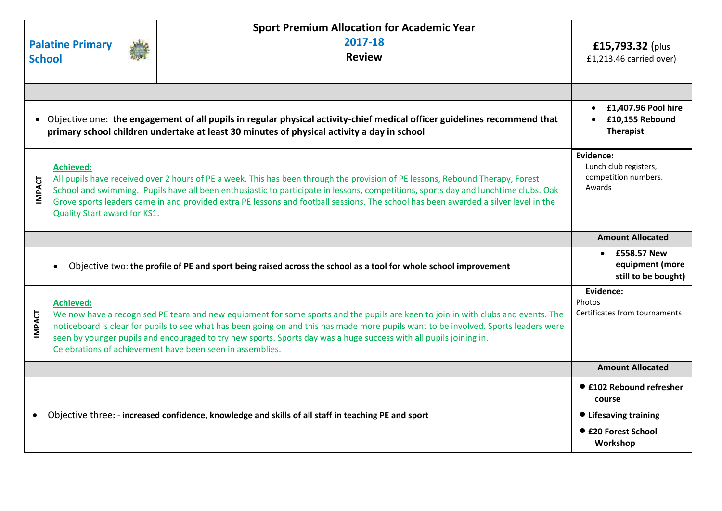|                                                                                                                                                                                                                        | <b>Palatine Primary</b><br><b>School</b>                                                                                                                                                                                                                                                                                                                                                                                                                         | <b>Sport Premium Allocation for Academic Year</b><br>2017-18<br><b>Review</b>                                                                                                                                                                                                                                                                                                                                                                               | £15,793.32 (plus<br>£1,213.46 carried over)                                                           |
|------------------------------------------------------------------------------------------------------------------------------------------------------------------------------------------------------------------------|------------------------------------------------------------------------------------------------------------------------------------------------------------------------------------------------------------------------------------------------------------------------------------------------------------------------------------------------------------------------------------------------------------------------------------------------------------------|-------------------------------------------------------------------------------------------------------------------------------------------------------------------------------------------------------------------------------------------------------------------------------------------------------------------------------------------------------------------------------------------------------------------------------------------------------------|-------------------------------------------------------------------------------------------------------|
|                                                                                                                                                                                                                        |                                                                                                                                                                                                                                                                                                                                                                                                                                                                  |                                                                                                                                                                                                                                                                                                                                                                                                                                                             |                                                                                                       |
| Objective one: the engagement of all pupils in regular physical activity-chief medical officer guidelines recommend that<br>primary school children undertake at least 30 minutes of physical activity a day in school |                                                                                                                                                                                                                                                                                                                                                                                                                                                                  |                                                                                                                                                                                                                                                                                                                                                                                                                                                             | £1,407.96 Pool hire<br>£10,155 Rebound<br><b>Therapist</b>                                            |
| <b>IMPACT</b>                                                                                                                                                                                                          | <b>Achieved:</b><br>All pupils have received over 2 hours of PE a week. This has been through the provision of PE lessons, Rebound Therapy, Forest<br>School and swimming. Pupils have all been enthusiastic to participate in lessons, competitions, sports day and lunchtime clubs. Oak<br>Grove sports leaders came in and provided extra PE lessons and football sessions. The school has been awarded a silver level in the<br>Quality Start award for KS1. |                                                                                                                                                                                                                                                                                                                                                                                                                                                             | Evidence:<br>Lunch club registers,<br>competition numbers.<br>Awards                                  |
|                                                                                                                                                                                                                        |                                                                                                                                                                                                                                                                                                                                                                                                                                                                  |                                                                                                                                                                                                                                                                                                                                                                                                                                                             | <b>Amount Allocated</b>                                                                               |
|                                                                                                                                                                                                                        |                                                                                                                                                                                                                                                                                                                                                                                                                                                                  | Objective two: the profile of PE and sport being raised across the school as a tool for whole school improvement                                                                                                                                                                                                                                                                                                                                            | $\bullet$ £558.57 New<br>equipment (more<br>still to be bought)                                       |
| <b>IMPACT</b>                                                                                                                                                                                                          | <b>Achieved:</b>                                                                                                                                                                                                                                                                                                                                                                                                                                                 | We now have a recognised PE team and new equipment for some sports and the pupils are keen to join in with clubs and events. The<br>noticeboard is clear for pupils to see what has been going on and this has made more pupils want to be involved. Sports leaders were<br>seen by younger pupils and encouraged to try new sports. Sports day was a huge success with all pupils joining in.<br>Celebrations of achievement have been seen in assemblies. | Evidence:<br>Photos<br>Certificates from tournaments                                                  |
|                                                                                                                                                                                                                        |                                                                                                                                                                                                                                                                                                                                                                                                                                                                  |                                                                                                                                                                                                                                                                                                                                                                                                                                                             | <b>Amount Allocated</b>                                                                               |
| ٠                                                                                                                                                                                                                      |                                                                                                                                                                                                                                                                                                                                                                                                                                                                  | Objective three: - increased confidence, knowledge and skills of all staff in teaching PE and sport                                                                                                                                                                                                                                                                                                                                                         | ● £102 Rebound refresher<br>course<br><b>• Lifesaving training</b><br>● £20 Forest School<br>Workshop |